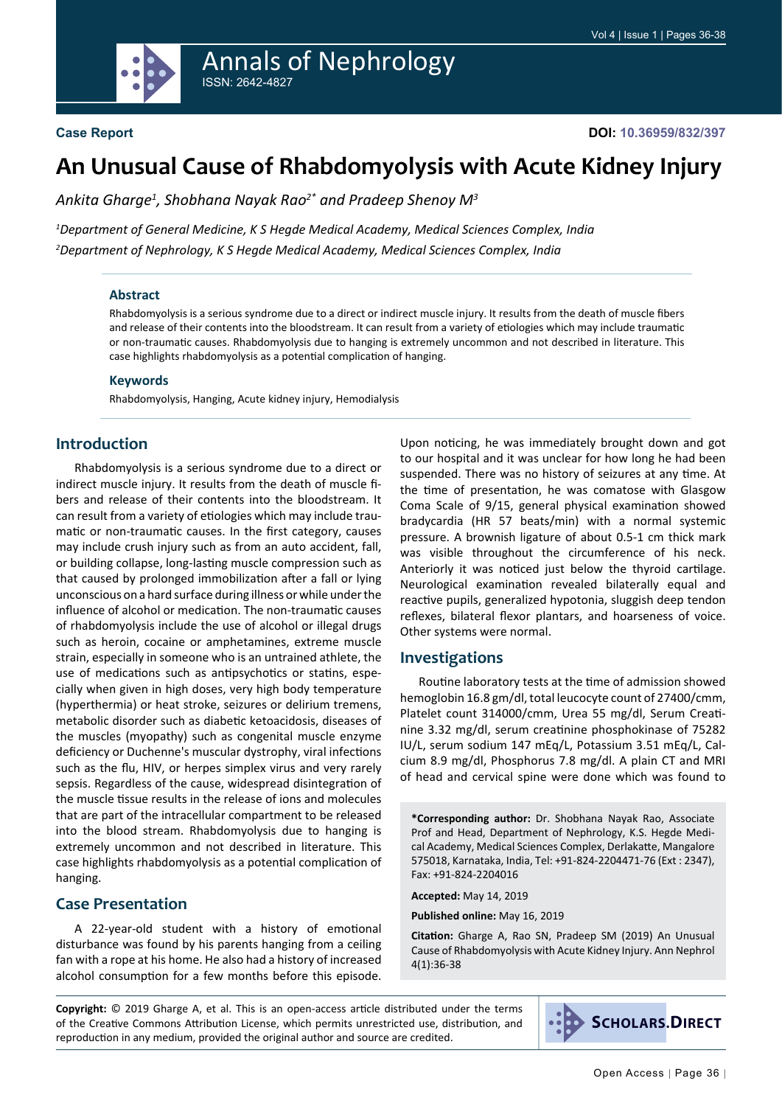

# **An Unusual Cause of Rhabdomyolysis with Acute Kidney Injury**

*Ankita Gharge1 , Shobhana Nayak Rao2\* and Pradeep Shenoy M3*

*1 Department of General Medicine, K S Hegde Medical Academy, Medical Sciences Complex, India 2 Department of Nephrology, K S Hegde Medical Academy, Medical Sciences Complex, India*

#### **Abstract**

Rhabdomyolysis is a serious syndrome due to a direct or indirect muscle injury. It results from the death of muscle fibers and release of their contents into the bloodstream. It can result from a variety of etiologies which may include traumatic or non-traumatic causes. Rhabdomyolysis due to hanging is extremely uncommon and not described in literature. This case highlights rhabdomyolysis as a potential complication of hanging.

#### **Keywords**

Rhabdomyolysis, Hanging, Acute kidney injury, Hemodialysis

## **Introduction**

Rhabdomyolysis is a serious syndrome due to a direct or indirect muscle injury. It results from the death of muscle fibers and release of their contents into the bloodstream. It can result from a variety of etiologies which may include traumatic or non-traumatic causes. In the first category, causes may include crush injury such as from an auto accident, fall, or building collapse, long-lasting muscle compression such as that caused by prolonged immobilization after a fall or lying unconscious on a hard surface during illness or while under the influence of alcohol or medication. The non-traumatic causes of rhabdomyolysis include the use of alcohol or illegal drugs such as heroin, [cocaine](https://www.webmd.com/drugs/2/drug-1383/cocaine+topical/details) or [amphetamines,](https://www.webmd.com/a-to-z-guides/ss/slideshow-commonly-abused-drugs) extreme [muscle](https://www.webmd.com/fitness-exercise/guide/muscle-strain)  [strain,](https://www.webmd.com/fitness-exercise/guide/muscle-strain) especially in someone who is an untrained athlete, the use of [medications](https://www.webmd.com/drugs/index-drugs.aspx) such as antipsychotics or [statins](https://www.webmd.com/cholesterol-management/side-effects-of-statin-drugs), especially when given in high doses, very [high body temperature](https://www.webmd.com/first-aid/fevers-causes-symptoms-treatments)  ([hyperthermia](https://www.webmd.com/webmd/consumer_assets/controlled_content/healthwise/nord/neuroleptic_malignant_syndrome_nord_nord763.xml)) or [heat stroke](https://www.webmd.com/a-to-z-guides/heat-stroke-symptoms-and-treatment), [seizures](https://www.webmd.com/epilepsy/understanding-seizures-basics) or delirium tremens, [metabolic disorder](https://www.webmd.com/a-to-z-guides/inherited-metabolic-disorder-types-and-treatments) such as diabetic [ketoacidosis](https://www.webmd.com/diabetes/ketoacidosis), diseases of the muscles (myopathy) such as congenital muscle enzyme deficiency or Duchenne's [muscular dystrophy,](https://www.webmd.com/children/what-is-muscular-dystrophy) viral infections such as the [flu](https://www.webmd.com/cold-and-flu/default.htm), [HIV](https://www.webmd.com/hiv-aids/default.htm), or [herpes simplex virus](https://www.webmd.com/webmd/consumer_assets/controlled_content/healthwise/medicaltest/herpes_tests_medicaltest_hw264763.xml) and very rarely sepsis. Regardless of the cause, widespread disintegration of the muscle tissue results in the release of ions and molecules that are part of the intracellular compartment to be released into the blood stream. Rhabdomyolysis due to hanging is extremely uncommon and not described in literature. This case highlights rhabdomyolysis as a potential complication of hanging.

## **Case Presentation**

A 22-year-old student with a history of emotional disturbance was found by his parents hanging from a ceiling fan with a rope at his home. He also had a history of increased alcohol consumption for a few months before this episode. Upon noticing, he was immediately brought down and got to our hospital and it was unclear for how long he had been suspended. There was no history of seizures at any time. At the time of presentation, he was comatose with Glasgow Coma Scale of 9/15, general physical examination showed bradycardia (HR 57 beats/min) with a normal systemic pressure. A brownish ligature of about 0.5-1 cm thick mark was visible throughout the circumference of his neck. Anteriorly it was noticed just below the thyroid cartilage. Neurological examination revealed bilaterally equal and reactive pupils, generalized hypotonia, sluggish deep tendon reflexes, bilateral flexor plantars, and hoarseness of voice. Other systems were normal.

#### **Investigations**

Routine laboratory tests at the time of admission showed hemoglobin 16.8 gm/dl, total leucocyte count of 27400/cmm, Platelet count 314000/cmm, Urea 55 mg/dl, Serum Creatinine 3.32 mg/dl, serum creatinine phosphokinase of 75282 IU/L, serum sodium 147 mEq/L, Potassium 3.51 mEq/L, Calcium 8.9 mg/dl, Phosphorus 7.8 mg/dl. A plain CT and MRI of head and cervical spine were done which was found to

**\*Corresponding author:** Dr. Shobhana Nayak Rao, Associate Prof and Head, Department of Nephrology, K.S. Hegde Medical Academy, Medical Sciences Complex, Derlakatte, Mangalore 575018, Karnataka, India, Tel: +91-824-2204471-76 (Ext : 2347), Fax: +91-824-2204016

**Accepted:** May 14, 2019

**Published online:** May 16, 2019

**Citation:** Gharge A, Rao SN, Pradeep SM (2019) An Unusual Cause of Rhabdomyolysis with Acute Kidney Injury. Ann Nephrol 4(1):36-38

**Copyright:** © 2019 Gharge A, et al. This is an open-access article distributed under the terms of the Creative Commons Attribution License, which permits unrestricted use, distribution, and reproduction in any medium, provided the original author and source are credited.

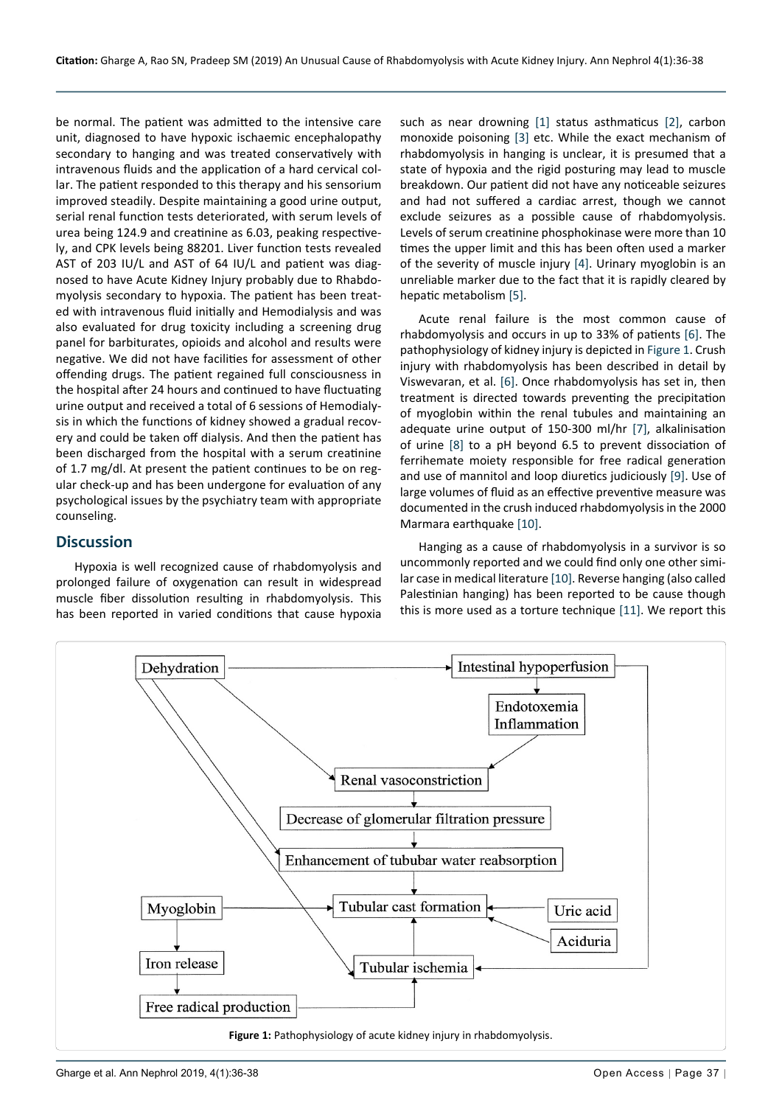be normal. The patient was admitted to the intensive care unit, diagnosed to have hypoxic ischaemic encephalopathy secondary to hanging and was treated conservatively with intravenous fluids and the application of a hard cervical collar. The patient responded to this therapy and his sensorium improved steadily. Despite maintaining a good urine output, serial renal function tests deteriorated, with serum levels of urea being 124.9 and creatinine as 6.03, peaking respectively, and CPK levels being 88201. Liver function tests revealed AST of 203 IU/L and AST of 64 IU/L and patient was diagnosed to have Acute Kidney Injury probably due to Rhabdomyolysis secondary to hypoxia. The patient has been treated with intravenous fluid initially and Hemodialysis and was also evaluated for drug toxicity including a screening drug panel for barbiturates, opioids and alcohol and results were negative. We did not have facilities for assessment of other offending drugs. The patient regained full consciousness in the hospital after 24 hours and continued to have fluctuating urine output and received a total of 6 sessions of Hemodialysis in which the functions of kidney showed a gradual recovery and could be taken off dialysis. And then the patient has been discharged from the hospital with a serum creatinine of 1.7 mg/dl. At present the patient continues to be on regular check-up and has been undergone for evaluation of any psychological issues by the psychiatry team with appropriate counseling.

## **Discussion**

Hypoxia is well recognized cause of rhabdomyolysis and prolonged failure of oxygenation can result in widespread muscle fiber dissolution resulting in rhabdomyolysis. This has been reported in varied conditions that cause hypoxia such as near drowning [[1\]](#page-2-0) status asthmaticus [\[2](#page-2-1)], carbon monoxide poisoning [[3\]](#page-2-2) etc. While the exact mechanism of rhabdomyolysis in hanging is unclear, it is presumed that a state of hypoxia and the rigid posturing may lead to muscle breakdown. Our patient did not have any noticeable seizures and had not suffered a cardiac arrest, though we cannot exclude seizures as a possible cause of rhabdomyolysis. Levels of serum creatinine phosphokinase were more than 10 times the upper limit and this has been often used a marker of the severity of muscle injury [\[4](#page-2-3)]. Urinary myoglobin is an unreliable marker due to the fact that it is rapidly cleared by hepatic metabolism [[5\]](#page-2-4).

Acute renal failure is the most common cause of rhabdomyolysis and occurs in up to 33% of patients [\[6](#page-2-5)]. The pathophysiology of kidney injury is depicted in [Figure 1](#page-1-0). Crush injury with rhabdomyolysis has been described in detail by Viswevaran, et al. [[6](#page-2-5)]. Once rhabdomyolysis has set in, then treatment is directed towards preventing the precipitation of myoglobin within the renal tubules and maintaining an adequate urine output of 150-300 ml/hr [[7\]](#page-2-6), alkalinisation of urine [\[8](#page-2-7)] to a pH beyond 6.5 to prevent dissociation of ferrihemate moiety responsible for free radical generation and use of mannitol and loop diuretics judiciously [\[9\]](#page-2-8). Use of large volumes of fluid as an effective preventive measure was documented in the crush induced rhabdomyolysis in the 2000 Marmara earthquake [[10\]](#page-2-9).

Hanging as a cause of rhabdomyolysis in a survivor is so uncommonly reported and we could find only one other similar case in medical literature [\[10\]](#page-2-9). Reverse hanging (also called Palestinian hanging) has been reported to be cause though this is more used as a torture technique [[11\]](#page-2-10). We report this

<span id="page-1-0"></span>